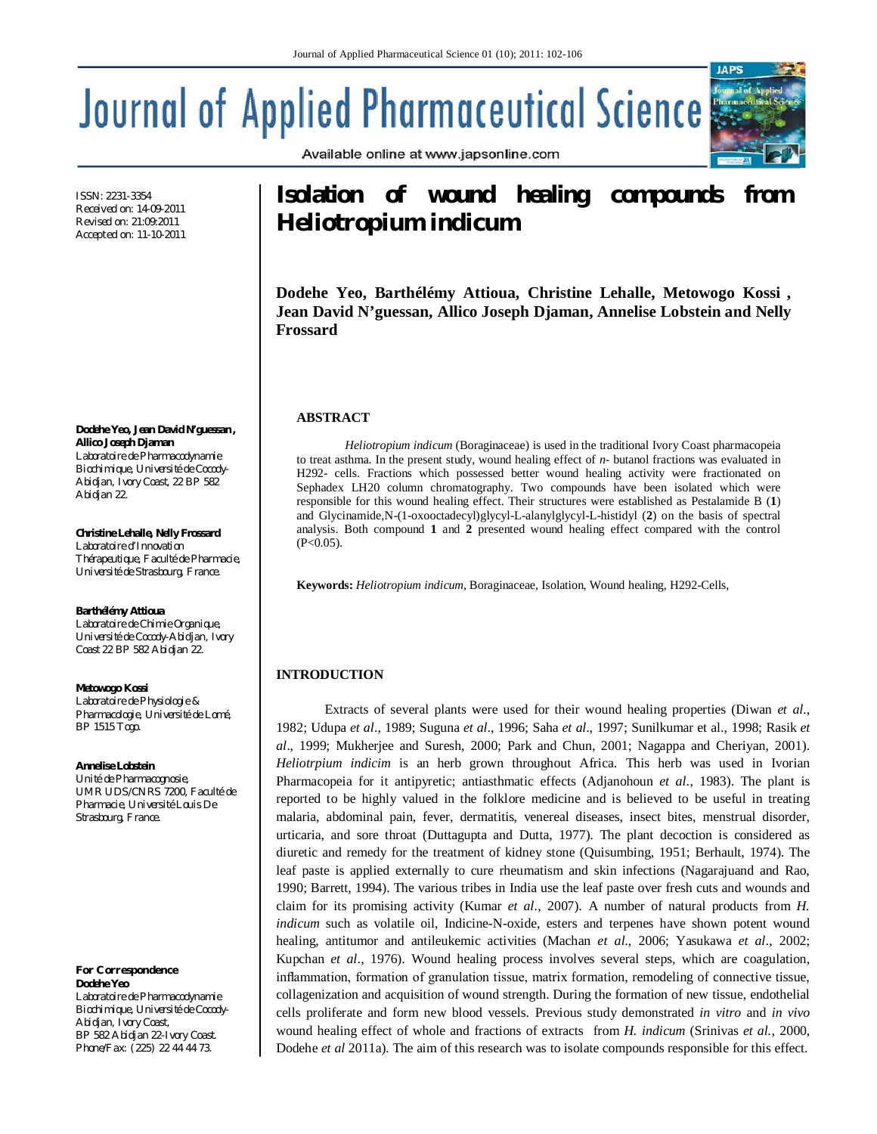Available online at www.japsonline.com

# **Journal of Applied Pharmaceutical Science**

ISSN: 2231-3354 Received on: 14-09-2011 Revised on: 21:09:2011 Accepted on: 11-10-2011

**Dodehe Yeo, Jean David N'guessan , Allico Joseph Djaman**  *Laboratoire de Pharmacodynamie Biochimique, Université de Cocody-Abidjan, Ivory Coast, 22 BP 582 Abidjan 22.*

**Christine Lehalle, Nelly Frossard** *Laboratoire d'Innovation Thérapeutique, Faculté de Pharmacie, Université de Strasbourg, France.*

#### **Barthélémy Attioua**

*Laboratoire de Chimie Organique, Université de Cocody-Abidjan, Ivory Coast 22 BP 582 Abidjan 22.*

#### **Metowogo Kossi**

*Laboratoire de Physiologie & Pharmacologie, Université de Lomé, BP 1515 Togo.*

#### **Annelise Lobstein**

*Unité de Pharmacognosie, UMR UDS/CNRS 7200, Faculté de Pharmacie, Université Louis De Strasbourg, France.*

*For Correspondence* **Dodehe Yeo** *Laboratoire de Pharmacodynamie Biochimique, Université de Cocody-Abidjan, Ivory Coast, BP 582 Abidjan 22-Ivory Coast. Phone/Fax: (225) 22 44 44 73.*

# **Isolation of wound healing compounds from**  *Heliotropium indicum*

**IAPS** 

**Dodehe Yeo, Barthélémy Attioua, Christine Lehalle, Metowogo Kossi , Jean David N'guessan, Allico Joseph Djaman, Annelise Lobstein and Nelly Frossard**

## **ABSTRACT**

*Heliotropium indicum* (Boraginaceae) is used in the traditional Ivory Coast pharmacopeia to treat asthma. In the present study, wound healing effect of *n-* butanol fractions was evaluated in H292- cells. Fractions which possessed better wound healing activity were fractionated on Sephadex LH20 column chromatography. Two compounds have been isolated which were responsible for this wound healing effect. Their structures were established as Pestalamide B (**1**) and Glycinamide,N-(1-oxooctadecyl)glycyl-L-alanylglycyl-L-histidyl (**2**) on the basis of spectral analysis. Both compound **1** and **2** presented wound healing effect compared with the control  $(P<0.05)$ .

**Keywords:** *Heliotropium indicum*, Boraginaceae, Isolation, Wound healing, H292-Cells,

# **INTRODUCTION**

Extracts of several plants were used for their wound healing properties (Diwan *et al.*, 1982; Udupa *et al*., 1989; Suguna *et al*., 1996; Saha *et al*., 1997; Sunilkumar et al., 1998; Rasik *et al*., 1999; Mukherjee and Suresh, 2000; Park and Chun, 2001; Nagappa and Cheriyan, 2001). *Heliotrpium indicim* is an herb grown throughout Africa. This herb was used in Ivorian Pharmacopeia for it antipyretic; antiasthmatic effects (Adjanohoun *et al*., 1983). The plant is reported to be highly valued in the folklore medicine and is believed to be useful in treating malaria, abdominal pain, fever, dermatitis, venereal diseases, insect bites, menstrual disorder, urticaria, and sore throat (Duttagupta and Dutta, 1977). The plant decoction is considered as diuretic and remedy for the treatment of kidney stone (Quisumbing, 1951; Berhault, 1974). The leaf paste is applied externally to cure rheumatism and skin infections (Nagarajuand and Rao, 1990; Barrett, 1994). The various tribes in India use the leaf paste over fresh cuts and wounds and claim for its promising activity (Kumar *et al.,* 2007). A number of natural products from *H. indicum* such as volatile oil, Indicine-N-oxide, esters and terpenes have shown potent wound healing, antitumor and antileukemic activities (Machan *et al.,* 2006; Yasukawa *et al*., 2002; Kupchan *et al*., 1976). Wound healing process involves several steps, which are coagulation, inflammation, formation of granulation tissue, matrix formation, remodeling of connective tissue, collagenization and acquisition of wound strength. During the formation of new tissue, endothelial cells proliferate and form new blood vessels. Previous study demonstrated *in vitro* and *in vivo* wound healing effect of whole and fractions of extracts from *H. indicum* (Srinivas *et al.,* 2000, Dodehe *et al* 2011a). The aim of this research was to isolate compounds responsible for this effect.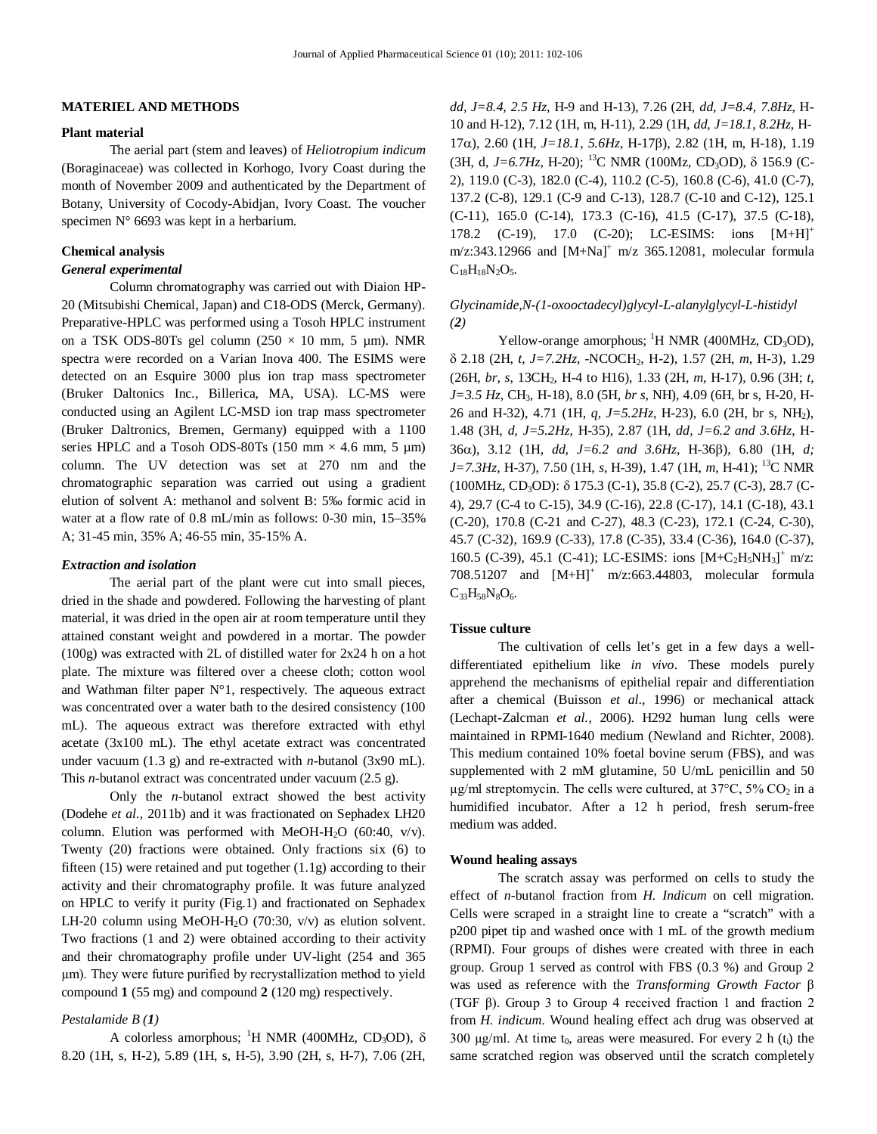#### **MATERIEL AND METHODS**

#### **Plant material**

The aerial part (stem and leaves) of *Heliotropium indicum* (Boraginaceae) was collected in Korhogo, Ivory Coast during the month of November 2009 and authenticated by the Department of Botany, University of Cocody-Abidjan, Ivory Coast. The voucher specimen N° 6693 was kept in a herbarium.

#### **Chemical analysis**

# *General experimental*

Column chromatography was carried out with Diaion HP-20 (Mitsubishi Chemical, Japan) and C18-ODS (Merck, Germany). Preparative-HPLC was performed using a Tosoh HPLC instrument on a TSK ODS-80Ts gel column ( $250 \times 10$  mm, 5 µm). NMR spectra were recorded on a Varian Inova 400. The ESIMS were detected on an Esquire 3000 plus ion trap mass spectrometer (Bruker Daltonics Inc., Billerica, MA, USA). LC-MS were conducted using an Agilent LC-MSD ion trap mass spectrometer (Bruker Daltronics, Bremen, Germany) equipped with a 1100 series HPLC and a Tosoh ODS-80Ts (150 mm  $\times$  4.6 mm, 5 µm) column. The UV detection was set at 270 nm and the chromatographic separation was carried out using a gradient elution of solvent A: methanol and solvent B: 5‰ formic acid in water at a flow rate of 0.8 mL/min as follows: 0-30 min, 15–35% A; 31-45 min, 35% A; 46-55 min, 35-15% A.

#### *Extraction and isolation*

The aerial part of the plant were cut into small pieces, dried in the shade and powdered. Following the harvesting of plant material, it was dried in the open air at room temperature until they attained constant weight and powdered in a mortar. The powder (100g) was extracted with 2L of distilled water for 2x24 h on a hot plate. The mixture was filtered over a cheese cloth; cotton wool and Wathman filter paper N°1, respectively. The aqueous extract was concentrated over a water bath to the desired consistency (100 mL). The aqueous extract was therefore extracted with ethyl acetate (3x100 mL). The ethyl acetate extract was concentrated under vacuum (1.3 g) and re-extracted with *n-*butanol (3x90 mL). This *n-*butanol extract was concentrated under vacuum (2.5 g).

Only the *n-*butanol extract showed the best activity (Dodehe *et al.,* 2011b) and it was fractionated on Sephadex LH20 column. Elution was performed with MeOH-H<sub>2</sub>O (60:40,  $v/v$ ). Twenty (20) fractions were obtained. Only fractions six (6) to fifteen  $(15)$  were retained and put together  $(1.1g)$  according to their activity and their chromatography profile. It was future analyzed on HPLC to verify it purity (Fig.1) and fractionated on Sephadex LH-20 column using MeOH-H<sub>2</sub>O (70:30,  $v/v$ ) as elution solvent. Two fractions (1 and 2) were obtained according to their activity and their chromatography profile under UV-light (254 and 365 µm). They were future purified by recrystallization method to yield compound **1** (55 mg) and compound **2** (120 mg) respectively.

#### *Pestalamide B (1)*

A colorless amorphous; <sup>1</sup>H NMR (400MHz, CD<sub>3</sub>OD),  $\delta$ 8.20 (1H, s, H*-*2), 5.89 (1H, s, H-5), 3.90 (2H, s, H-7), 7.06 (2H,

*dd, J=8.4, 2.5 Hz*, H-9 and H-13), 7.26 (2H, *dd, J=8.4, 7.8Hz*, H-10 and H-12), 7.12 (1H, m, H-11), 2.29 (1H, *dd, J=18.1, 8.2Hz*, H-17α), 2.60 (1H, *J*=18.1, 5.6Hz, H-17β), 2.82 (1H, m, H-18), 1.19 (3H, d,  $J=6.7H<sub>Z</sub>$ , H-20); <sup>13</sup>C NMR (100Mz, CD<sub>3</sub>OD),  $\delta$  156.9 (C-2), 119.0 (C-3), 182.0 (C-4), 110.2 (C-5), 160.8 (C-6), 41.0 (C-7), 137.2 (C-8), 129.1 (C-9 and C-13), 128.7 (C-10 and C-12), 125.1 (C-11), 165.0 (C-14), 173.3 (C-16), 41.5 (C-17), 37.5 (C-18), 178.2 (C-19), 17.0 (C-20); LC-ESIMS: ions [M+H]<sup>+</sup>  $m/z:343.12966$  and  $[M+Na]^+$   $m/z$  365.12081, molecular formula  $C_{18}H_{18}N_2O_5.$ 

# *Glycinamide,N-(1-oxooctadecyl)glycyl-L-alanylglycyl-L-histidyl (2)*

Yellow-orange amorphous;  ${}^{1}H$  NMR (400MHz, CD<sub>3</sub>OD), 2.18 (2H, *t, J=7.2Hz*, -NCOCH2, H-2), 1.57 (2H, *m*, H-3), 1.29 (26H, *br, s*, 13CH2, H-4 to H16), 1.33 (2H, *m*, H-17), 0.96 (3H; *t, J=3.5 Hz*, CH3, H-18), 8.0 (5H, *br s*, NH), 4.09 (6H, br s, H-20, H-26 and H-32), 4.71 (1H, *q, J=5.2Hz*, H-23), 6.0 (2H, br s, NH2), 1.48 (3H, *d, J=5.2Hz*, H-35), 2.87 (1H, *dd, J=6.2 and 3.6Hz*, H-36), 3.12 (1H, *dd, J=6.2 and 3.6Hz*, H-36), 6.80 (1H, *d; J=7.3Hz,* H-37), 7.50 (1H, *s*, H-39), 1.47 (1H, *m,* H-41); <sup>13</sup>C NMR (100MHz, CD<sub>3</sub>OD): δ 175.3 (C-1), 35.8 (C-2), 25.7 (C-3), 28.7 (C-4), 29.7 (C-4 to C-15), 34.9 (C-16), 22.8 (C-17), 14.1 (C-18), 43.1 (C-20), 170.8 (C-21 and C-27), 48.3 (C-23), 172.1 (C-24, C-30), 45.7 (C-32), 169.9 (C-33), 17.8 (C-35), 33.4 (C-36), 164.0 (C-37), 160.5 (C-39), 45.1 (C-41); LC-ESIMS: ions  $[M+C<sub>2</sub>H<sub>5</sub>NH<sub>3</sub>]<sup>+</sup> m/z$ : 708.51207 and  $[M+H]^+$  m/z:663.44803, molecular formula  $C_{33}H_{58}N_8O_6.$ 

# **Tissue culture**

The cultivation of cells let's get in a few days a welldifferentiated epithelium like *in vivo*. These models purely apprehend the mechanisms of epithelial repair and differentiation after a chemical (Buisson *et al*., 1996) or mechanical attack (Lechapt-Zalcman *et al.,* 2006). H292 human lung cells were maintained in RPMI-1640 medium (Newland and Richter, 2008). This medium contained 10% foetal bovine serum (FBS), and was supplemented with 2 mM glutamine, 50 U/mL penicillin and 50  $\mu$ g/ml streptomycin. The cells were cultured, at 37°C, 5% CO<sub>2</sub> in a humidified incubator. After a 12 h period, fresh serum-free medium was added.

#### **Wound healing assays**

The scratch assay was performed on cells to study the effect of *n-*butanol fraction from *H. Indicum* on cell migration. Cells were scraped in a straight line to create a "scratch" with a p200 pipet tip and washed once with 1 mL of the growth medium (RPMI). Four groups of dishes were created with three in each group. Group 1 served as control with FBS (0.3 %) and Group 2 was used as reference with the *Transforming Growth Factor* β (TGF β). Group 3 to Group 4 received fraction 1 and fraction 2 from *H. indicum*. Wound healing effect ach drug was observed at 300  $\mu$ g/ml. At time t<sub>0</sub>, areas were measured. For every 2 h (t<sub>i</sub>) the same scratched region was observed until the scratch completely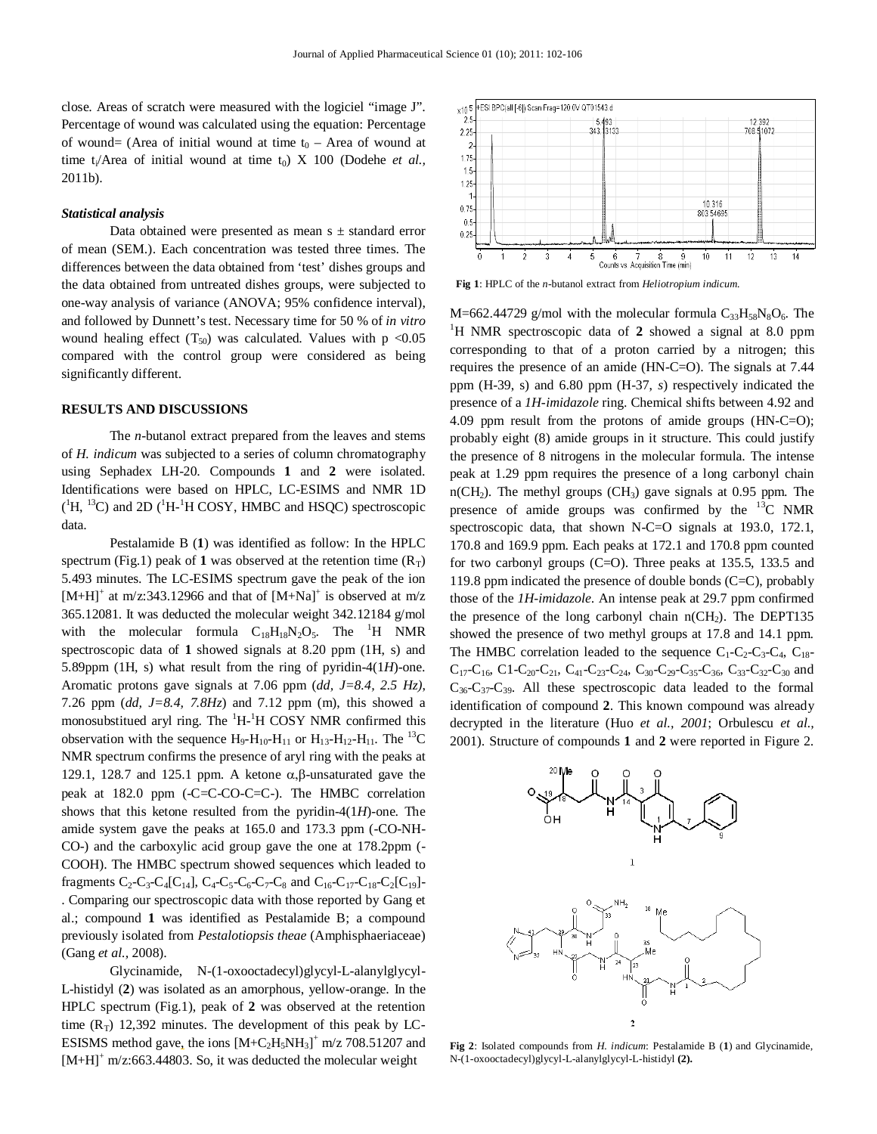close. Areas of scratch were measured with the logiciel "image J". Percentage of wound was calculated using the equation: Percentage of wound= (Area of initial wound at time  $t_0$  – Area of wound at time t<sub>i</sub>/Area of initial wound at time t<sub>0</sub>) X 100 (Dodehe *et al.*, 2011b).

#### *Statistical analysis*

Data obtained were presented as mean  $s \pm$  standard error of mean (SEM.). Each concentration was tested three times. The differences between the data obtained from 'test' dishes groups and the data obtained from untreated dishes groups, were subjected to one-way analysis of variance (ANOVA; 95% confidence interval), and followed by Dunnett's test. Necessary time for 50 % of *in vitro* wound healing effect  $(T_{50})$  was calculated. Values with p <0.05 compared with the control group were considered as being significantly different.

#### **RESULTS AND DISCUSSIONS**

The *n-*butanol extract prepared from the leaves and stems of *H. indicum* was subjected to a series of column chromatography using Sephadex LH-20. Compounds **1** and **2** were isolated. Identifications were based on HPLC, LC-ESIMS and NMR 1D  $({}^{1}H, {}^{13}C)$  and 2D  $({}^{1}H-{}^{1}H$  COSY, HMBC and HSQC) spectroscopic data.

Pestalamide B (**1**) was identified as follow: In the HPLC spectrum (Fig.1) peak of 1 was observed at the retention time  $(R_T)$ 5.493 minutes. The LC-ESIMS spectrum gave the peak of the ion [M+H]<sup>+</sup> at m/z:343.12966 and that of  $[M+Na]$ <sup>+</sup> is observed at m/z 365.12081. It was deducted the molecular weight 342.12184 g/mol with the molecular formula  $C_{18}H_{18}N_2O_5$ . The <sup>1</sup>H NMR spectroscopic data of **1** showed signals at 8.20 ppm (1H, s) and 5.89ppm (1H, s) what result from the ring of pyridin-4(1*H*)-one. Aromatic protons gave signals at 7.06 ppm (*dd, J=8.4, 2.5 Hz)*, 7.26 ppm (*dd, J=8.4, 7.8Hz*) and 7.12 ppm (m), this showed a monosubstitued aryl ring. The  ${}^{1}H$ - ${}^{1}H$  COSY NMR confirmed this observation with the sequence  $H_9-H_{10}-H_{11}$  or  $H_{13}-H_{12}-H_{11}$ . The <sup>13</sup>C NMR spectrum confirms the presence of aryl ring with the peaks at 129.1, 128.7 and 125.1 ppm. A ketone  $\alpha$ ,  $\beta$ -unsaturated gave the peak at 182.0 ppm (-C=C-CO-C=C-). The HMBC correlation shows that this ketone resulted from the pyridin-4(1*H*)-one. The amide system gave the peaks at 165.0 and 173.3 ppm (-CO-NH-CO-) and the carboxylic acid group gave the one at 178.2ppm (- COOH). The HMBC spectrum showed sequences which leaded to fragments  $C_2$ - $C_3$ - $C_4$ [ $C_{14}$ ],  $C_4$ - $C_5$ - $C_6$ - $C_7$ - $C_8$  and  $C_{16}$ - $C_{17}$ - $C_{18}$ - $C_2$ [ $C_{19}$ ]-. Comparing our spectroscopic data with those reported by Gang et al.; compound **1** was identified as Pestalamide B; a compound previously isolated from *Pestalotiopsis theae* (Amphisphaeriaceae) (Gang *et al.,* 2008).

Glycinamide, N-(1-oxooctadecyl)glycyl-L-alanylglycyl-L-histidyl (**2**) was isolated as an amorphous, yellow-orange. In the HPLC spectrum (Fig.1), peak of **2** was observed at the retention time  $(R_T)$  12,392 minutes. The development of this peak by LC-ESISMS method gave, the ions  $[M+C_2H_5NH_3]^+$  m/z 708.51207 and  $[M+H]^+$  m/z:663.44803. So, it was deducted the molecular weight



**Fig 1**: HPLC of the *n*-butanol extract from *Heliotropium indicum.*

M=662.44729 g/mol with the molecular formula  $C_{33}H_{58}N_8O_6$ . The <sup>1</sup>H NMR spectroscopic data of 2 showed a signal at 8.0 ppm corresponding to that of a proton carried by a nitrogen; this requires the presence of an amide (HN-C=O). The signals at 7.44 ppm (H-39, s) and 6.80 ppm (H-37, *s*) respectively indicated the presence of a *1H-imidazole* ring. Chemical shifts between 4.92 and 4.09 ppm result from the protons of amide groups (HN-C=O); probably eight (8) amide groups in it structure. This could justify the presence of 8 nitrogens in the molecular formula. The intense peak at 1.29 ppm requires the presence of a long carbonyl chain  $n(CH<sub>2</sub>)$ . The methyl groups (CH<sub>3</sub>) gave signals at 0.95 ppm. The presence of amide groups was confirmed by the  ${}^{13}C$  NMR spectroscopic data, that shown N-C=O signals at 193.0, 172.1, 170.8 and 169.9 ppm. Each peaks at 172.1 and 170.8 ppm counted for two carbonyl groups (C=O). Three peaks at 135.5, 133.5 and 119.8 ppm indicated the presence of double bonds (C=C), probably those of the *1H-imidazole*. An intense peak at 29.7 ppm confirmed the presence of the long carbonyl chain  $n(CH_2)$ . The DEPT135 showed the presence of two methyl groups at 17.8 and 14.1 ppm. The HMBC correlation leaded to the sequence  $C_1-C_2-C_3-C_4$ ,  $C_{18}$ - $C_{17}-C_{16}$ , C1-C<sub>20</sub>-C<sub>21</sub>, C<sub>41</sub>-C<sub>23</sub>-C<sub>24</sub>, C<sub>30</sub>-C<sub>29</sub>-C<sub>35</sub>-C<sub>36</sub>, C<sub>33</sub>-C<sub>32</sub>-C<sub>30</sub> and  $C_{36}$ - $C_{37}$ - $C_{39}$ . All these spectroscopic data leaded to the formal identification of compound **2**. This known compound was already decrypted in the literature (Huo *et al., 2001*; Orbulescu *et al.,* 2001). Structure of compounds **1** and **2** were reported in Figure 2.



**Fig 2**: Isolated compounds from *H. indicum*: Pestalamide B (**1**) and Glycinamide, N-(1-oxooctadecyl)glycyl-L-alanylglycyl-L-histidyl **(2).**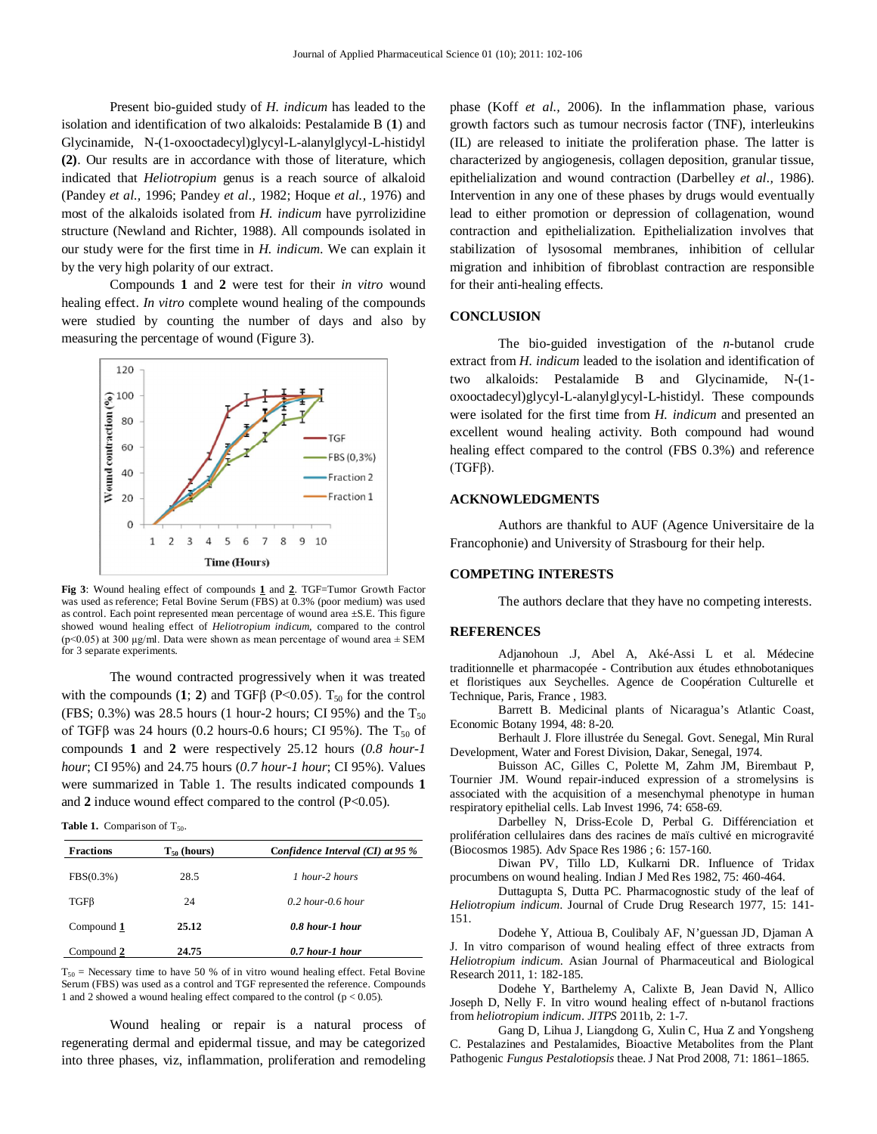Present bio-guided study of *H. indicum* has leaded to the isolation and identification of two alkaloids: Pestalamide B (**1**) and Glycinamide, N-(1-oxooctadecyl)glycyl-L-alanylglycyl-L-histidyl **(2)**. Our results are in accordance with those of literature, which indicated that *Heliotropium* genu*s* is a reach source of alkaloid (Pandey *et al.,* 1996; Pandey *et al.,* 1982; Hoque *et al.,* 1976) and most of the alkaloids isolated from *H. indicum* have pyrrolizidine structure (Newland and Richter, 1988). All compounds isolated in our study were for the first time in *H. indicum*. We can explain it by the very high polarity of our extract.

Compounds **1** and **2** were test for their *in vitro* wound healing effect. *In vitro* complete wound healing of the compounds were studied by counting the number of days and also by measuring the percentage of wound (Figure 3).



**Fig 3**: Wound healing effect of compounds **1** and **2**. TGF=Tumor Growth Factor was used as reference; Fetal Bovine Serum (FBS) at 0.3% (poor medium) was used as control. Each point represented mean percentage of wound area ±S.E. This figure showed wound healing effect of *Heliotropium indicum*, compared to the control ( $p<0.05$ ) at 300 µg/ml. Data were shown as mean percentage of wound area  $\pm$  SEM for 3 separate experiments.

The wound contracted progressively when it was treated with the compounds  $(1; 2)$  and TGF $\beta$  (P<0.05). T<sub>50</sub> for the control (FBS; 0.3%) was 28.5 hours (1 hour-2 hours; CI 95%) and the  $T_{50}$ of TGF $\beta$  was 24 hours (0.2 hours-0.6 hours; CI 95%). The T<sub>50</sub> of compounds **1** and **2** were respectively 25.12 hours (*0.8 hour-1 hour*; CI 95%) and 24.75 hours (*0.7 hour-1 hour*; CI 95%). Values were summarized in Table 1. The results indicated compounds **1** and 2 induce wound effect compared to the control (P<0.05).

Table 1. Comparison of T<sub>50</sub>.

| <b>Fractions</b> | $T_{50}$ (hours) | Confidence Interval $(Cl)$ at 95 $%$ |
|------------------|------------------|--------------------------------------|
| FBS(0.3%)        | 28.5             | 1 hour-2 hours                       |
| $TGF\beta$       | 24               | $0.2$ hour- $0.6$ hour               |
| Compound 1       | 25.12            | 0.8 hour-1 hour                      |
| Compound 2       | 24.75            | 0.7 hour-1 hour                      |

 $T_{50}$  = Necessary time to have 50 % of in vitro wound healing effect. Fetal Bovine Serum (FBS) was used as a control and TGF represented the reference. Compounds 1 and 2 showed a wound healing effect compared to the control (p < 0.05).

Wound healing or repair is a natural process of regenerating dermal and epidermal tissue, and may be categorized into three phases, viz, inflammation, proliferation and remodeling

phase (Koff *et al.,* 2006). In the inflammation phase, various growth factors such as tumour necrosis factor (TNF), interleukins (IL) are released to initiate the proliferation phase. The latter is characterized by angiogenesis, collagen deposition, granular tissue, epithelialization and wound contraction (Darbelley *et al.,* 1986). Intervention in any one of these phases by drugs would eventually lead to either promotion or depression of collagenation, wound contraction and epithelialization. Epithelialization involves that stabilization of lysosomal membranes, inhibition of cellular migration and inhibition of fibroblast contraction are responsible for their anti-healing effects.

#### **CONCLUSION**

The bio-guided investigation of the *n*-butanol crude extract from *H. indicum* leaded to the isolation and identification of two alkaloids: Pestalamide B and Glycinamide, N-(1 oxooctadecyl)glycyl-L-alanylglycyl-L-histidyl. These compounds were isolated for the first time from *H. indicum* and presented an excellent wound healing activity. Both compound had wound healing effect compared to the control (FBS 0.3%) and reference (TGFβ).

#### **ACKNOWLEDGMENTS**

Authors are thankful to AUF (Agence Universitaire de la Francophonie) and University of Strasbourg for their help.

#### **COMPETING INTERESTS**

The authors declare that they have no competing interests.

#### **REFERENCES**

Adjanohoun .J, Abel A, Aké-Assi L et al. Médecine traditionnelle et pharmacopée - Contribution aux études ethnobotaniques et floristiques aux Seychelles. Agence de Coopération Culturelle et Technique, Paris, France , 1983.

Barrett B. Medicinal plants of Nicaragua's Atlantic Coast, Economic Botany 1994, 48: 8-20.

Berhault J. Flore illustrée du Senegal. Govt. Senegal, Min Rural Development, Water and Forest Division, Dakar, Senegal, 1974.

Buisson AC, Gilles C, Polette M, Zahm JM, Birembaut P, Tournier JM. Wound repair-induced expression of a stromelysins is associated with the acquisition of a mesenchymal phenotype in human respiratory epithelial cells. Lab Invest 1996, 74: 658-69.

Darbelley N, Driss-Ecole D, Perbal G. Différenciation et prolifération cellulaires dans des racines de maïs cultivé en microgravité (Biocosmos 1985). Adv Space Res 1986 ; 6: 157-160.

Diwan PV, Tillo LD, Kulkarni DR. Influence of Tridax procumbens on wound healing. Indian J Med Res 1982, 75: 460-464.

Duttagupta S, Dutta PC. Pharmacognostic study of the leaf of *Heliotropium indicum*. Journal of Crude Drug Research 1977, 15: 141- 151.

Dodehe Y, Attioua B, Coulibaly AF, N'guessan JD, Djaman A J. In vitro comparison of wound healing effect of three extracts from *Heliotropium indicum*. Asian Journal of Pharmaceutical and Biological Research 2011, 1: 182-185.

Dodehe Y, Barthelemy A, Calixte B, Jean David N, Allico Joseph D, Nelly F. In vitro wound healing effect of n-butanol fractions from *heliotropium indicum*. *JITPS* 2011b, 2: 1-7.

Gang D, Lihua J, Liangdong G, Xulin C, Hua Z and Yongsheng C. Pestalazines and Pestalamides, Bioactive Metabolites from the Plant Pathogenic *Fungus Pestalotiopsis* theae. J Nat Prod 2008, 71: 1861–1865.